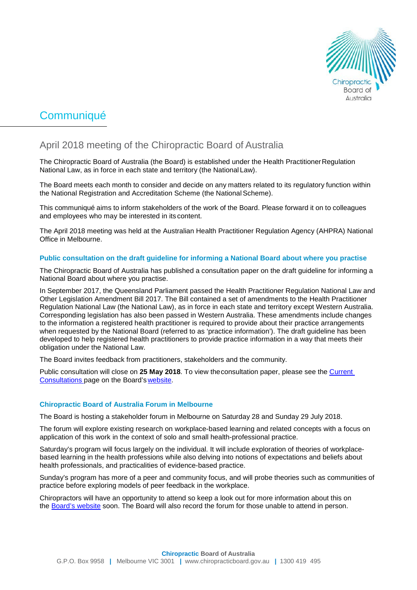

# **Communiqué**

# April 2018 meeting of the Chiropractic Board of Australia

The Chiropractic Board of Australia (the Board) is established under the Health PractitionerRegulation National Law, as in force in each state and territory (the National Law).

The Board meets each month to consider and decide on any matters related to its regulatory function within the National Registration and Accreditation Scheme (the National Scheme).

This communiqué aims to inform stakeholders of the work of the Board. Please forward it on to colleagues and employees who may be interested in its content.

The April 2018 meeting was held at the Australian Health Practitioner Regulation Agency (AHPRA) National Office in Melbourne.

# **Public consultation on the draft guideline for informing a National Board about where you practise**

The Chiropractic Board of Australia has published a consultation paper on the draft guideline for informing a National Board about where you practise.

In September 2017, the Queensland Parliament passed the Health Practitioner Regulation National Law and Other Legislation Amendment Bill 2017. The Bill contained a set of amendments to the Health Practitioner Regulation National Law (the National Law), as in force in each state and territory except Western Australia. Corresponding legislation has also been passed in Western Australia. These amendments include changes to the information a registered health practitioner is required to provide about their practice arrangements when requested by the National Board (referred to as 'practice information'). The draft guideline has been developed to help registered health practitioners to provide practice information in a way that meets their obligation under the National Law.

The Board invites feedback from practitioners, stakeholders and the community.

Public consultation will close on **25 May 2018**. To view theconsultation paper, please see the [Current](http://www.chiropracticboard.gov.au/News/2018-03-14-consultation.aspx)  [Consultations p](http://www.chiropracticboard.gov.au/News/2018-03-14-consultation.aspx)age on the Board's [website.](http://www.chiropracticboard.gov.au/)

# **Chiropractic Board of Australia Forum in Melbourne**

The Board is hosting a stakeholder forum in Melbourne on Saturday 28 and Sunday 29 July 2018.

The forum will explore existing research on workplace-based learning and related concepts with a focus on application of this work in the context of solo and small health-professional practice.

Saturday's program will focus largely on the individual. It will include exploration of theories of workplacebased learning in the health professions while also delving into notions of expectations and beliefs about health professionals, and practicalities of evidence-based practice.

Sunday's program has more of a peer and community focus, and will probe theories such as communities of practice before exploring models of peer feedback in the workplace.

Chiropractors will have an opportunity to attend so keep a look out for more information about this on the [Board's website](http://www.chiropracticboard.gov.au/) soon. The Board will also record the forum for those unable to attend in person.